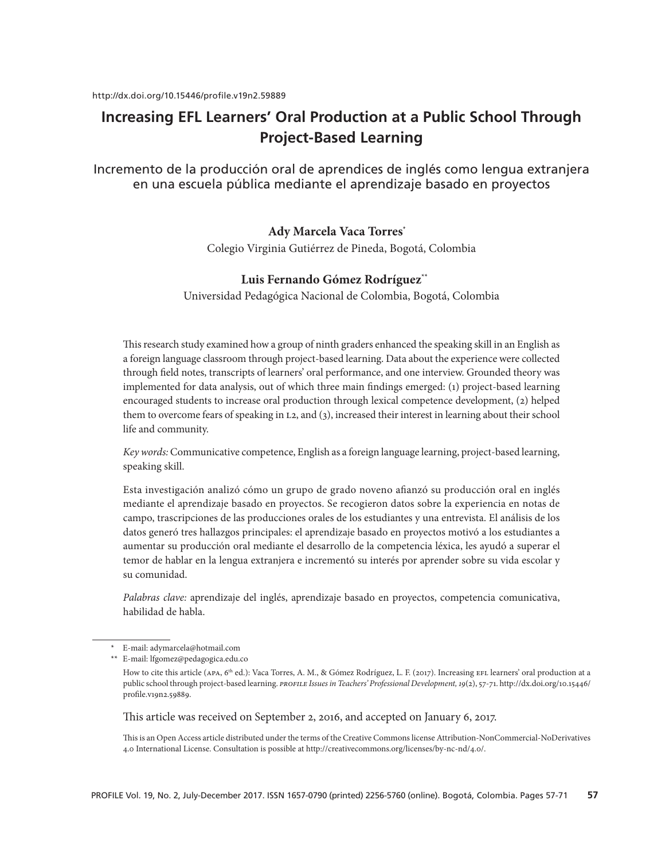# **Increasing EFL Learners' Oral Production at a Public School Through Project-Based Learning**

Incremento de la producción oral de aprendices de inglés como lengua extranjera en una escuela pública mediante el aprendizaje basado en proyectos

# **Ady Marcela Vaca Torres\***

Colegio Virginia Gutiérrez de Pineda, Bogotá, Colombia

# **Luis Fernando Gómez Rodríguez\*\***

Universidad Pedagógica Nacional de Colombia, Bogotá, Colombia

This research study examined how a group of ninth graders enhanced the speaking skill in an English as a foreign language classroom through project-based learning. Data about the experience were collected through field notes, transcripts of learners' oral performance, and one interview. Grounded theory was implemented for data analysis, out of which three main findings emerged: (1) project-based learning encouraged students to increase oral production through lexical competence development, (2) helped them to overcome fears of speaking in l2, and (3), increased their interest in learning about their school life and community.

*Key words:* Communicative competence, English as a foreign language learning, project-based learning, speaking skill.

Esta investigación analizó cómo un grupo de grado noveno afianzó su producción oral en inglés mediante el aprendizaje basado en proyectos. Se recogieron datos sobre la experiencia en notas de campo, trascripciones de las producciones orales de los estudiantes y una entrevista. El análisis de los datos generó tres hallazgos principales: el aprendizaje basado en proyectos motivó a los estudiantes a aumentar su producción oral mediante el desarrollo de la competencia léxica, les ayudó a superar el temor de hablar en la lengua extranjera e incrementó su interés por aprender sobre su vida escolar y su comunidad.

*Palabras clave:* aprendizaje del inglés, aprendizaje basado en proyectos, competencia comunicativa, habilidad de habla.

This article was received on September 2, 2016, and accepted on January 6, 2017.

This is an Open Access article distributed under the terms of the Creative Commons license Attribution-NonCommercial-NoDerivatives 4.0 International License. Consultation is possible at http://creativecommons.org/licenses/by-nc-nd/4.0/.

E-mail: adymarcela@hotmail.com

<sup>\*\*</sup> E-mail: lfgomez@pedagogica.edu.co

How to cite this article (APA, 6<sup>th</sup> ed.): Vaca Torres, A. M., & Gómez Rodríguez, L. F. (2017). Increasing EFL learners' oral production at a public school through project-based learning. *profile Issues in Teachers' Professional Development, 19*(2), 57-71. http://dx.doi.org/10.15446/ profile.v19n2.59889.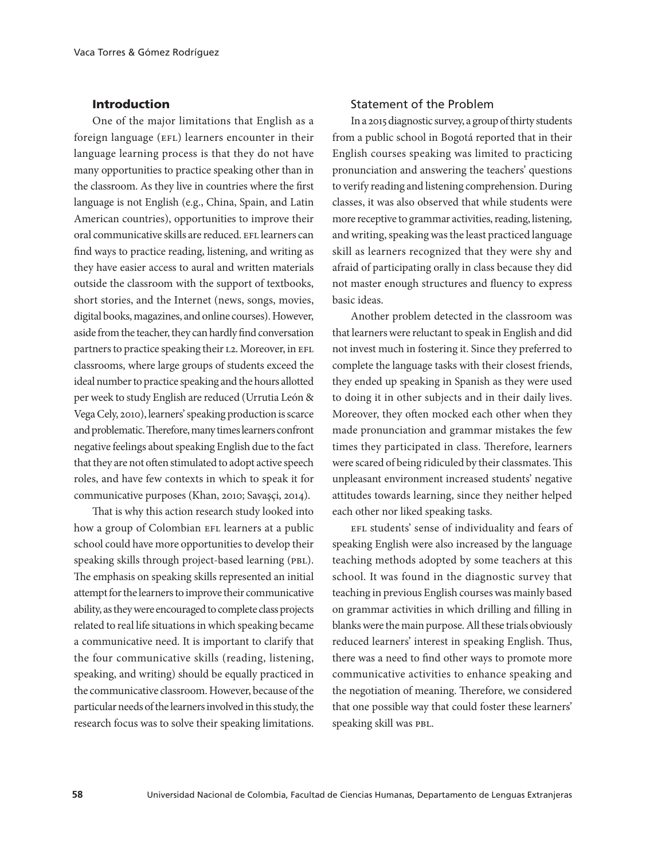# Introduction

One of the major limitations that English as a foreign language (EFL) learners encounter in their language learning process is that they do not have many opportunities to practice speaking other than in the classroom. As they live in countries where the first language is not English (e.g., China, Spain, and Latin American countries), opportunities to improve their oral communicative skills are reduced. EFL learners can find ways to practice reading, listening, and writing as they have easier access to aural and written materials outside the classroom with the support of textbooks, short stories, and the Internet (news, songs, movies, digital books, magazines, and online courses). However, aside from the teacher, they can hardly find conversation partners to practice speaking their L2. Moreover, in EFL classrooms, where large groups of students exceed the ideal number to practice speaking and the hours allotted per week to study English are reduced (Urrutia León & Vega Cely, 2010), learners' speaking production is scarce and problematic. Therefore, many times learners confront negative feelings about speaking English due to the fact that they are not often stimulated to adopt active speech roles, and have few contexts in which to speak it for communicative purposes (Khan, 2010; Savaşçi, 2014).

That is why this action research study looked into how a group of Colombian EFL learners at a public school could have more opportunities to develop their speaking skills through project-based learning (PBL). The emphasis on speaking skills represented an initial attempt for the learners to improve their communicative ability, as they were encouraged to complete class projects related to real life situations in which speaking became a communicative need. It is important to clarify that the four communicative skills (reading, listening, speaking, and writing) should be equally practiced in the communicative classroom. However, because of the particular needs of the learners involved in this study, the research focus was to solve their speaking limitations.

# Statement of the Problem

In a 2015 diagnostic survey, a group of thirty students from a public school in Bogotá reported that in their English courses speaking was limited to practicing pronunciation and answering the teachers' questions to verify reading and listening comprehension. During classes, it was also observed that while students were more receptive to grammar activities, reading, listening, and writing, speaking was the least practiced language skill as learners recognized that they were shy and afraid of participating orally in class because they did not master enough structures and fluency to express basic ideas.

Another problem detected in the classroom was that learners were reluctant to speak in English and did not invest much in fostering it. Since they preferred to complete the language tasks with their closest friends, they ended up speaking in Spanish as they were used to doing it in other subjects and in their daily lives. Moreover, they often mocked each other when they made pronunciation and grammar mistakes the few times they participated in class. Therefore, learners were scared of being ridiculed by their classmates. This unpleasant environment increased students' negative attitudes towards learning, since they neither helped each other nor liked speaking tasks.

EFL students' sense of individuality and fears of speaking English were also increased by the language teaching methods adopted by some teachers at this school. It was found in the diagnostic survey that teaching in previous English courses was mainly based on grammar activities in which drilling and filling in blanks were the main purpose. All these trials obviously reduced learners' interest in speaking English. Thus, there was a need to find other ways to promote more communicative activities to enhance speaking and the negotiation of meaning. Therefore, we considered that one possible way that could foster these learners' speaking skill was pbl.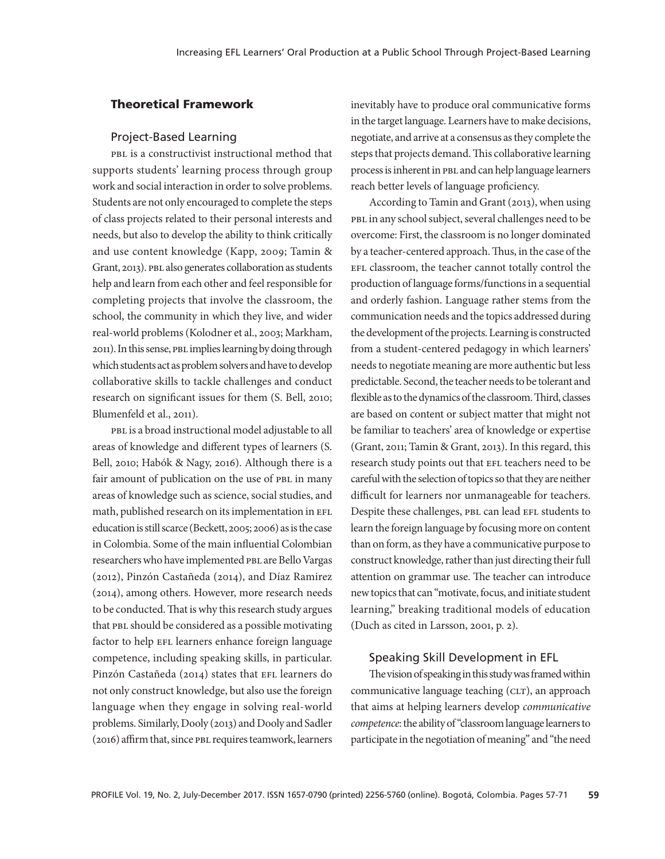# Theoretical Framework

#### Project-Based Learning

pbl is a constructivist instructional method that supports students' learning process through group work and social interaction in order to solve problems. Students are not only encouraged to complete the steps of class projects related to their personal interests and needs, but also to develop the ability to think critically and use content knowledge (Kapp, 2009; Tamin & Grant, 2013). PBL also generates collaboration as students help and learn from each other and feel responsible for completing projects that involve the classroom, the school, the community in which they live, and wider real-world problems (Kolodner et al., 2003; Markham, 2011). In this sense, PBL implies learning by doing through which students act as problem solvers and have to develop collaborative skills to tackle challenges and conduct research on significant issues for them (S. Bell, 2010; Blumenfeld et al., 2011).

pbl is a broad instructional model adjustable to all areas of knowledge and different types of learners (S. Bell, 2010; Habók & Nagy, 2016). Although there is a fair amount of publication on the use of PBL in many areas of knowledge such as science, social studies, and math, published research on its implementation in EFL education is still scarce (Beckett, 2005; 2006) as is the case in Colombia. Some of the main influential Colombian researchers who have implemented PBL are Bello Vargas (2012), Pinzón Castañeda (2014), and Díaz Ramirez (2014), among others. However, more research needs to be conducted. That is why this research study argues that PBL should be considered as a possible motivating factor to help EFL learners enhance foreign language competence, including speaking skills, in particular. Pinzón Castañeda (2014) states that EFL learners do not only construct knowledge, but also use the foreign language when they engage in solving real-world problems. Similarly, Dooly (2013) and Dooly and Sadler (2016) affirm that, since pbl requires teamwork, learners inevitably have to produce oral communicative forms in the target language. Learners have to make decisions, negotiate, and arrive at a consensus as they complete the steps that projects demand. This collaborative learning process is inherent in PBL and can help language learners reach better levels of language proficiency.

According to Tamin and Grant (2013), when using PBL in any school subject, several challenges need to be overcome: First, the classroom is no longer dominated by a teacher-centered approach. Thus, in the case of the EFL classroom, the teacher cannot totally control the production of language forms/functions in a sequential and orderly fashion. Language rather stems from the communication needs and the topics addressed during the development of the projects. Learning is constructed from a student-centered pedagogy in which learners' needs to negotiate meaning are more authentic but less predictable. Second, the teacher needs to be tolerant and flexible as to the dynamics of the classroom. Third, classes are based on content or subject matter that might not be familiar to teachers' area of knowledge or expertise (Grant, 2011; Tamin & Grant, 2013). In this regard, this research study points out that EFL teachers need to be careful with the selection of topics so that they are neither difficult for learners nor unmanageable for teachers. Despite these challenges, PBL can lead EFL students to learn the foreign language by focusing more on content than on form, as they have a communicative purpose to construct knowledge, rather than just directing their full attention on grammar use. The teacher can introduce new topics that can "motivate, focus, and initiate student learning," breaking traditional models of education (Duch as cited in Larsson, 2001, p. 2).

#### Speaking Skill Development in EFL

The vision of speaking in this study was framed within communicative language teaching (CLT), an approach that aims at helping learners develop *communicative competence*: the ability of "classroom language learners to participate in the negotiation of meaning" and "the need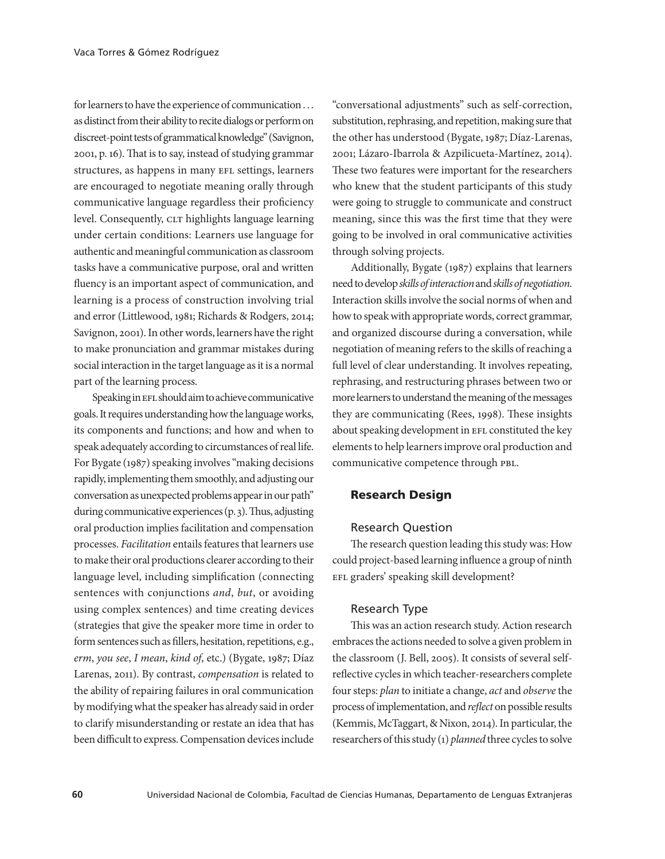for learners to have the experience of communication . . . as distinct from their ability to recite dialogs or perform on discreet-point tests of grammatical knowledge" (Savignon, 2001, p. 16). That is to say, instead of studying grammar structures, as happens in many EFL settings, learners are encouraged to negotiate meaning orally through communicative language regardless their proficiency level. Consequently, CLT highlights language learning under certain conditions: Learners use language for authentic and meaningful communication as classroom tasks have a communicative purpose, oral and written fluency is an important aspect of communication, and learning is a process of construction involving trial and error (Littlewood, 1981; Richards & Rodgers, 2014; Savignon, 2001). In other words, learners have the right to make pronunciation and grammar mistakes during social interaction in the target language as it is a normal part of the learning process.

Speaking in EFL should aim to achieve communicative goals. It requires understanding how the language works, its components and functions; and how and when to speak adequately according to circumstances of real life. For Bygate (1987) speaking involves "making decisions rapidly, implementing them smoothly, and adjusting our conversation as unexpected problems appear in our path" during communicative experiences (p. 3). Thus, adjusting oral production implies facilitation and compensation processes. *Facilitation* entails features that learners use to make their oral productions clearer according to their language level, including simplification (connecting sentences with conjunctions *and*, *but*, or avoiding using complex sentences) and time creating devices (strategies that give the speaker more time in order to form sentences such as fillers, hesitation, repetitions, e.g., *erm*, *you see*, *I mean*, *kind of*, etc.) (Bygate, 1987; Díaz Larenas, 2011). By contrast, *compensation* is related to the ability of repairing failures in oral communication by modifying what the speaker has already said in order to clarify misunderstanding or restate an idea that has been difficult to express. Compensation devices include

"conversational adjustments" such as self-correction, substitution, rephrasing, and repetition, making sure that the other has understood (Bygate, 1987; Díaz-Larenas, 2001; Lázaro-Ibarrola & Azpilicueta-Martínez, 2014). These two features were important for the researchers who knew that the student participants of this study were going to struggle to communicate and construct meaning, since this was the first time that they were going to be involved in oral communicative activities through solving projects.

Additionally, Bygate (1987) explains that learners need to develop *skills of interaction* and *skills of negotiation*. Interaction skills involve the social norms of when and how to speak with appropriate words, correct grammar, and organized discourse during a conversation, while negotiation of meaning refers to the skills of reaching a full level of clear understanding. It involves repeating, rephrasing, and restructuring phrases between two or more learners to understand the meaning of the messages they are communicating (Rees, 1998). These insights about speaking development in EFL constituted the key elements to help learners improve oral production and communicative competence through PBL.

#### Research Design

#### Research Question

The research question leading this study was: How could project-based learning influence a group of ninth EFL graders' speaking skill development?

#### Research Type

This was an action research study. Action research embraces the actions needed to solve a given problem in the classroom (J. Bell, 2005). It consists of several selfreflective cycles in which teacher-researchers complete four steps: *plan* to initiate a change, *act* and *observe* the process of implementation, and *reflect* on possible results (Kemmis, McTaggart, & Nixon, 2014). In particular, the researchers of this study (1) *planned* three cycles to solve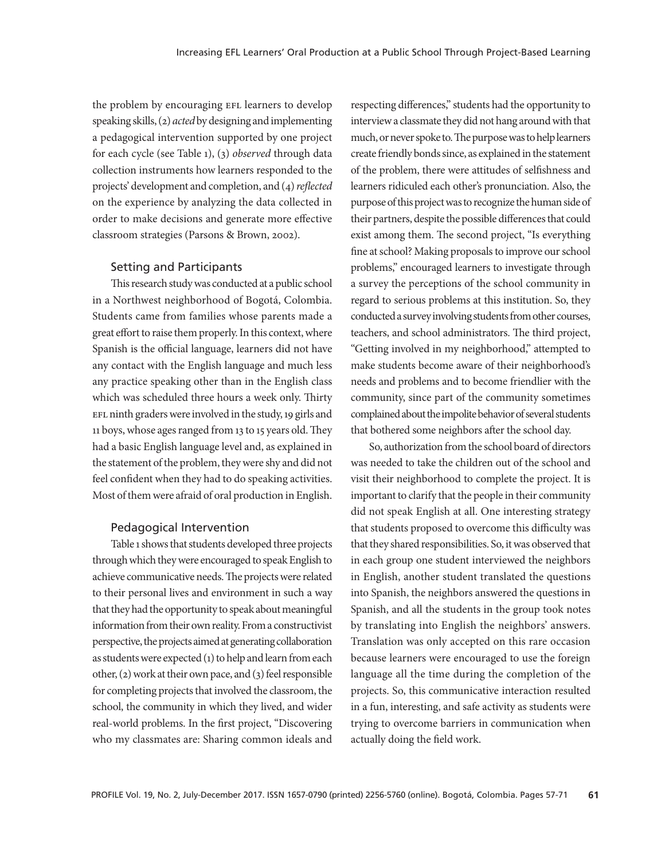the problem by encouraging EFL learners to develop speaking skills, (2) *acted* by designing and implementing a pedagogical intervention supported by one project for each cycle (see Table 1), (3) *observed* through data collection instruments how learners responded to the projects' development and completion, and (4) *reflected* on the experience by analyzing the data collected in order to make decisions and generate more effective classroom strategies (Parsons & Brown, 2002).

#### Setting and Participants

This research study was conducted at a public school in a Northwest neighborhood of Bogotá, Colombia. Students came from families whose parents made a great effort to raise them properly. In this context, where Spanish is the official language, learners did not have any contact with the English language and much less any practice speaking other than in the English class which was scheduled three hours a week only. Thirty EFL ninth graders were involved in the study, 19 girls and 11 boys, whose ages ranged from 13 to 15 years old. They had a basic English language level and, as explained in the statement of the problem, they were shy and did not feel confident when they had to do speaking activities. Most of them were afraid of oral production in English.

#### Pedagogical Intervention

Table 1 shows that students developed three projects through which they were encouraged to speak English to achieve communicative needs. The projects were related to their personal lives and environment in such a way that they had the opportunity to speak about meaningful information from their own reality. From a constructivist perspective, the projects aimed at generating collaboration as students were expected (1) to help and learn from each other, (2) work at their own pace, and (3) feel responsible for completing projects that involved the classroom, the school, the community in which they lived, and wider real-world problems. In the first project, "Discovering who my classmates are: Sharing common ideals and

respecting differences," students had the opportunity to interview a classmate they did not hang around with that much, or never spoke to. The purpose was to help learners create friendly bonds since, as explained in the statement of the problem, there were attitudes of selfishness and learners ridiculed each other's pronunciation. Also, the purpose of this project was to recognize the human side of their partners, despite the possible differences that could exist among them. The second project, "Is everything fine at school? Making proposals to improve our school problems," encouraged learners to investigate through a survey the perceptions of the school community in regard to serious problems at this institution. So, they conducted a survey involving students from other courses, teachers, and school administrators. The third project, "Getting involved in my neighborhood," attempted to make students become aware of their neighborhood's needs and problems and to become friendlier with the community, since part of the community sometimes complained about the impolite behavior of several students that bothered some neighbors after the school day.

So, authorization from the school board of directors was needed to take the children out of the school and visit their neighborhood to complete the project. It is important to clarify that the people in their community did not speak English at all. One interesting strategy that students proposed to overcome this difficulty was that they shared responsibilities. So, it was observed that in each group one student interviewed the neighbors in English, another student translated the questions into Spanish, the neighbors answered the questions in Spanish, and all the students in the group took notes by translating into English the neighbors' answers. Translation was only accepted on this rare occasion because learners were encouraged to use the foreign language all the time during the completion of the projects. So, this communicative interaction resulted in a fun, interesting, and safe activity as students were trying to overcome barriers in communication when actually doing the field work.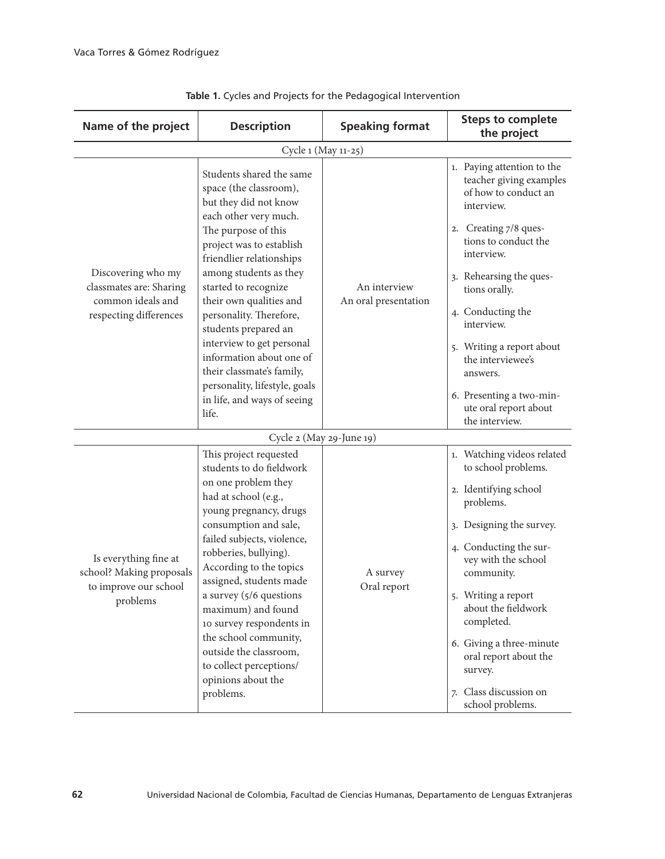| Name of the project                                                                          | <b>Description</b>                                                                                                                                                                                                                                                                                                                                                                                                                                                                 | <b>Speaking format</b>               | <b>Steps to complete</b><br>the project                                                                                                                                                                                                                                                                                                                                        |  |  |
|----------------------------------------------------------------------------------------------|------------------------------------------------------------------------------------------------------------------------------------------------------------------------------------------------------------------------------------------------------------------------------------------------------------------------------------------------------------------------------------------------------------------------------------------------------------------------------------|--------------------------------------|--------------------------------------------------------------------------------------------------------------------------------------------------------------------------------------------------------------------------------------------------------------------------------------------------------------------------------------------------------------------------------|--|--|
| Cycle 1 (May 11-25)                                                                          |                                                                                                                                                                                                                                                                                                                                                                                                                                                                                    |                                      |                                                                                                                                                                                                                                                                                                                                                                                |  |  |
| Discovering who my<br>classmates are: Sharing<br>common ideals and<br>respecting differences | Students shared the same<br>space (the classroom),<br>but they did not know<br>each other very much.<br>The purpose of this<br>project was to establish<br>friendlier relationships<br>among students as they<br>started to recognize<br>their own qualities and<br>personality. Therefore,<br>students prepared an<br>interview to get personal<br>information about one of<br>their classmate's family,<br>personality, lifestyle, goals<br>in life, and ways of seeing<br>life. | An interview<br>An oral presentation | 1. Paying attention to the<br>teacher giving examples<br>of how to conduct an<br>interview.<br>2. Creating 7/8 ques-<br>tions to conduct the<br>interview.<br>3. Rehearsing the ques-<br>tions orally.<br>4. Conducting the<br>interview.<br>5. Writing a report about<br>the interviewee's<br>answers.<br>6. Presenting a two-min-<br>ute oral report about<br>the interview. |  |  |
| Cycle 2 (May 29-June 19)                                                                     |                                                                                                                                                                                                                                                                                                                                                                                                                                                                                    |                                      |                                                                                                                                                                                                                                                                                                                                                                                |  |  |
| Is everything fine at<br>school? Making proposals<br>to improve our school<br>problems       | This project requested<br>students to do fieldwork<br>on one problem they<br>had at school (e.g.,<br>young pregnancy, drugs<br>consumption and sale,<br>failed subjects, violence,<br>robberies, bullying).<br>According to the topics<br>assigned, students made<br>a survey (5/6 questions<br>maximum) and found<br>10 survey respondents in<br>the school community,<br>outside the classroom,<br>to collect perceptions/<br>opinions about the<br>problems.                    | A survey<br>Oral report              | 1. Watching videos related<br>to school problems.<br>2. Identifying school<br>problems.<br>3. Designing the survey.<br>4. Conducting the sur-<br>vey with the school<br>community.<br>5. Writing a report<br>about the fieldwork<br>completed.<br>6. Giving a three-minute<br>oral report about the<br>survey.<br>7. Class discussion on<br>school problems.                   |  |  |

**Table 1.** Cycles and Projects for the Pedagogical Intervention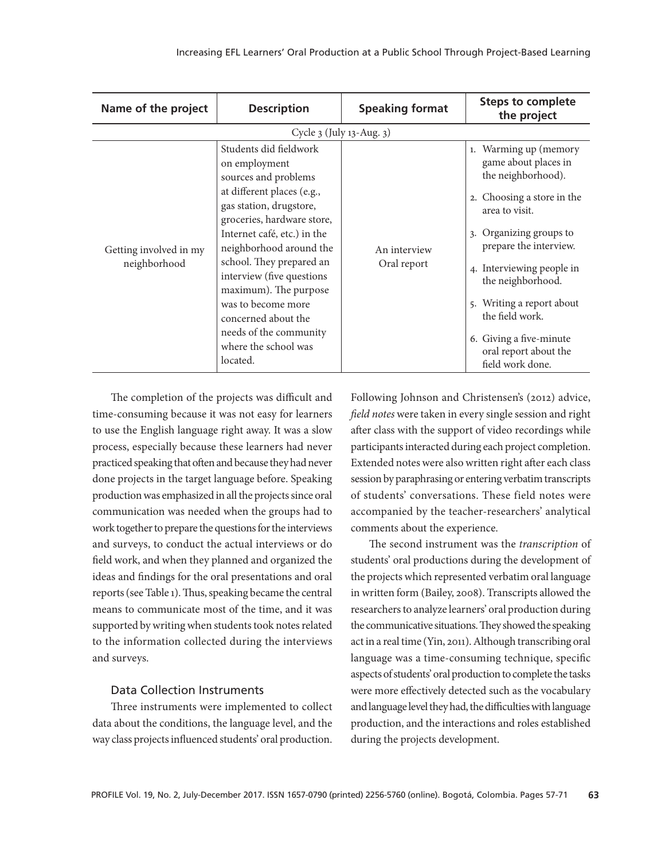| Name of the project                    | <b>Description</b>                                                                                                                                                                                                                                                                                                                                                                                            | <b>Speaking format</b>      | <b>Steps to complete</b><br>the project                                                                                                                                                                                                                                                                                                                     |  |  |
|----------------------------------------|---------------------------------------------------------------------------------------------------------------------------------------------------------------------------------------------------------------------------------------------------------------------------------------------------------------------------------------------------------------------------------------------------------------|-----------------------------|-------------------------------------------------------------------------------------------------------------------------------------------------------------------------------------------------------------------------------------------------------------------------------------------------------------------------------------------------------------|--|--|
| Cycle 3 (July 13-Aug. 3)               |                                                                                                                                                                                                                                                                                                                                                                                                               |                             |                                                                                                                                                                                                                                                                                                                                                             |  |  |
| Getting involved in my<br>neighborhood | Students did fieldwork<br>on employment<br>sources and problems<br>at different places (e.g.,<br>gas station, drugstore,<br>groceries, hardware store,<br>Internet café, etc.) in the<br>neighborhood around the<br>school. They prepared an<br>interview (five questions<br>maximum). The purpose<br>was to become more<br>concerned about the<br>needs of the community<br>where the school was<br>located. | An interview<br>Oral report | Warming up (memory<br>1.<br>game about places in<br>the neighborhood).<br>2. Choosing a store in the<br>area to visit.<br>Organizing groups to<br>3.<br>prepare the interview.<br>4. Interviewing people in<br>the neighborhood.<br>Writing a report about<br>5.<br>the field work.<br>6. Giving a five-minute<br>oral report about the<br>field work done. |  |  |

The completion of the projects was difficult and time-consuming because it was not easy for learners to use the English language right away. It was a slow process, especially because these learners had never practiced speaking that often and because they had never done projects in the target language before. Speaking production was emphasized in all the projects since oral communication was needed when the groups had to work together to prepare the questions for the interviews and surveys, to conduct the actual interviews or do field work, and when they planned and organized the ideas and findings for the oral presentations and oral reports (see Table 1). Thus, speaking became the central means to communicate most of the time, and it was supported by writing when students took notes related to the information collected during the interviews and surveys.

#### Data Collection Instruments

Three instruments were implemented to collect data about the conditions, the language level, and the way class projects influenced students' oral production.

Following Johnson and Christensen's (2012) advice, *field notes* were taken in every single session and right after class with the support of video recordings while participants interacted during each project completion. Extended notes were also written right after each class session by paraphrasing or entering verbatim transcripts of students' conversations. These field notes were accompanied by the teacher-researchers' analytical comments about the experience.

The second instrument was the *transcription* of students' oral productions during the development of the projects which represented verbatim oral language in written form (Bailey, 2008). Transcripts allowed the researchers to analyze learners' oral production during the communicative situations. They showed the speaking act in a real time (Yin, 2011). Although transcribing oral language was a time-consuming technique, specific aspects of students' oral production to complete the tasks were more effectively detected such as the vocabulary and language level they had, the difficulties with language production, and the interactions and roles established during the projects development.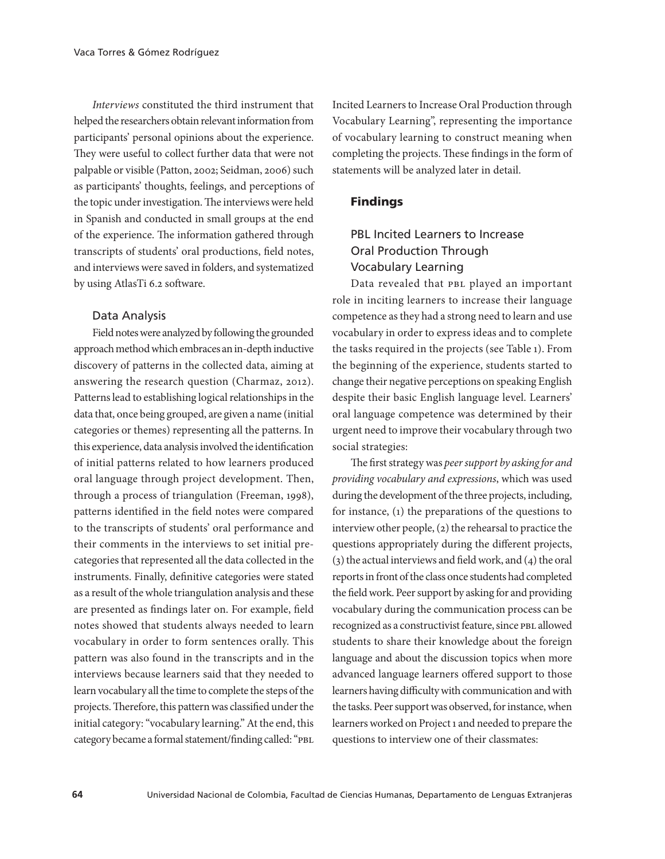*Interviews* constituted the third instrument that helped the researchers obtain relevant information from participants' personal opinions about the experience. They were useful to collect further data that were not palpable or visible (Patton, 2002; Seidman, 2006) such as participants' thoughts, feelings, and perceptions of the topic under investigation. The interviews were held in Spanish and conducted in small groups at the end of the experience. The information gathered through transcripts of students' oral productions, field notes, and interviews were saved in folders, and systematized by using AtlasTi 6.2 software.

#### Data Analysis

Field notes were analyzed by following the grounded approach method which embraces an in-depth inductive discovery of patterns in the collected data, aiming at answering the research question (Charmaz, 2012). Patterns lead to establishing logical relationships in the data that, once being grouped, are given a name (initial categories or themes) representing all the patterns. In this experience, data analysis involved the identification of initial patterns related to how learners produced oral language through project development. Then, through a process of triangulation (Freeman, 1998), patterns identified in the field notes were compared to the transcripts of students' oral performance and their comments in the interviews to set initial precategories that represented all the data collected in the instruments. Finally, definitive categories were stated as a result of the whole triangulation analysis and these are presented as findings later on. For example, field notes showed that students always needed to learn vocabulary in order to form sentences orally. This pattern was also found in the transcripts and in the interviews because learners said that they needed to learn vocabulary all the time to complete the steps of the projects. Therefore, this pattern was classified under the initial category: "vocabulary learning." At the end, this category became a formal statement/finding called: "PBL

Incited Learners to Increase Oral Production through Vocabulary Learning", representing the importance of vocabulary learning to construct meaning when completing the projects. These findings in the form of statements will be analyzed later in detail.

### Findings

# PBL Incited Learners to Increase Oral Production Through Vocabulary Learning

Data revealed that PBL played an important role in inciting learners to increase their language competence as they had a strong need to learn and use vocabulary in order to express ideas and to complete the tasks required in the projects (see Table 1). From the beginning of the experience, students started to change their negative perceptions on speaking English despite their basic English language level. Learners' oral language competence was determined by their urgent need to improve their vocabulary through two social strategies:

The first strategy was *peer support by asking for and providing vocabulary and expressions*, which was used during the development of the three projects, including, for instance, (1) the preparations of the questions to interview other people, (2) the rehearsal to practice the questions appropriately during the different projects, (3) the actual interviews and field work, and (4) the oral reports in front of the class once students had completed the field work. Peer support by asking for and providing vocabulary during the communication process can be recognized as a constructivist feature, since PBL allowed students to share their knowledge about the foreign language and about the discussion topics when more advanced language learners offered support to those learners having difficulty with communication and with the tasks. Peer support was observed, for instance, when learners worked on Project 1 and needed to prepare the questions to interview one of their classmates: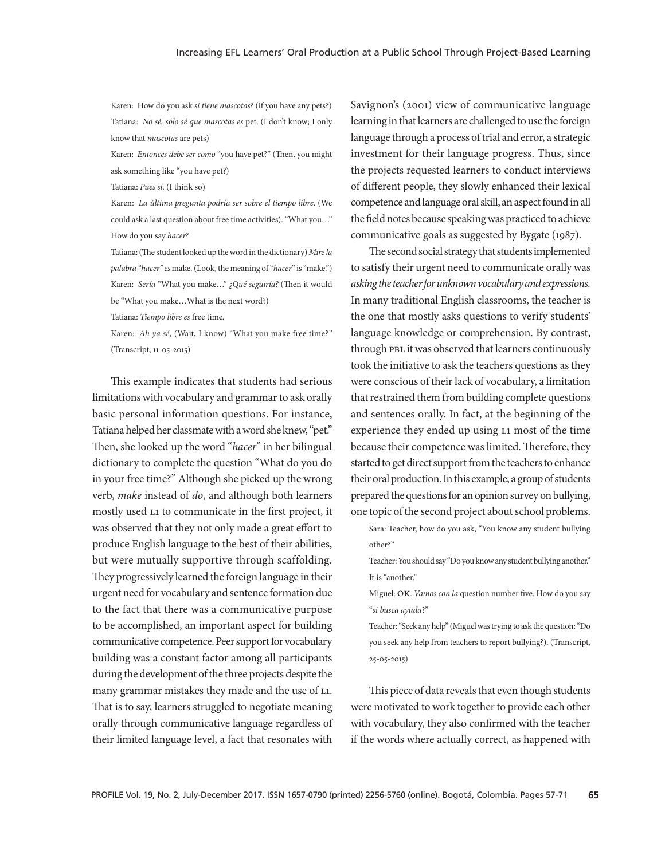Karen: How do you ask *si tiene mascotas*? (if you have any pets?) Tatiana: *No sé, sólo sé que mascotas es* pet. (I don't know; I only know that *mascotas* are pets)

Karen: *Entonces debe ser como* "you have pet?" (Then, you might ask something like "you have pet?)

Tatiana: *Pues sí*. (I think so)

Karen: *La última pregunta podría ser sobre el tiempo libre*. (We could ask a last question about free time activities). "What you…" How do you say *hacer*?

Tatiana: (The student looked up the word in the dictionary) *Mire la palabra "hacer" es* make. (Look, the meaning of "*hacer*" is "make.") Karen: *Sería* "What you make…" *¿Qué seguiría?* (Then it would be "What you make…What is the next word?)

Tatiana: *Tiempo libre es* free time*.*

Karen: *Ah ya sé*, (Wait, I know) "What you make free time?" (Transcript, 11-05-2015)

This example indicates that students had serious limitations with vocabulary and grammar to ask orally basic personal information questions. For instance, Tatiana helped her classmate with a word she knew, "pet." Then, she looked up the word "*hacer*" in her bilingual dictionary to complete the question "What do you do in your free time?" Although she picked up the wrong verb, *make* instead of *do*, and although both learners mostly used l1 to communicate in the first project, it was observed that they not only made a great effort to produce English language to the best of their abilities, but were mutually supportive through scaffolding. They progressively learned the foreign language in their urgent need for vocabulary and sentence formation due to the fact that there was a communicative purpose to be accomplished, an important aspect for building communicative competence. Peer support for vocabulary building was a constant factor among all participants during the development of the three projects despite the many grammar mistakes they made and the use of L1. That is to say, learners struggled to negotiate meaning orally through communicative language regardless of their limited language level, a fact that resonates with

Savignon's (2001) view of communicative language learning in that learners are challenged to use the foreign language through a process of trial and error, a strategic investment for their language progress. Thus, since the projects requested learners to conduct interviews of different people, they slowly enhanced their lexical competence and language oral skill, an aspect found in all the field notes because speaking was practiced to achieve communicative goals as suggested by Bygate (1987).

The second social strategy that students implemented to satisfy their urgent need to communicate orally was *asking the teacher for unknown vocabulary and expressions.* In many traditional English classrooms, the teacher is the one that mostly asks questions to verify students' language knowledge or comprehension. By contrast, through PBL it was observed that learners continuously took the initiative to ask the teachers questions as they were conscious of their lack of vocabulary, a limitation that restrained them from building complete questions and sentences orally. In fact, at the beginning of the experience they ended up using l1 most of the time because their competence was limited. Therefore, they started to get direct support from the teachers to enhance their oral production. In this example, a group of students prepared the questions for an opinion survey on bullying, one topic of the second project about school problems.

Sara: Teacher, how do you ask, "You know any student bullying other?"

Teacher: You should say "Do you know any student bullying another." It is "another"

Miguel: ok. *Vamos con la* question number five. How do you say "*si busca ayuda*?"

Teacher: "Seek any help" (Miguel was trying to ask the question: "Do you seek any help from teachers to report bullying?). (Transcript, 25-05-2015)

This piece of data reveals that even though students were motivated to work together to provide each other with vocabulary, they also confirmed with the teacher if the words where actually correct, as happened with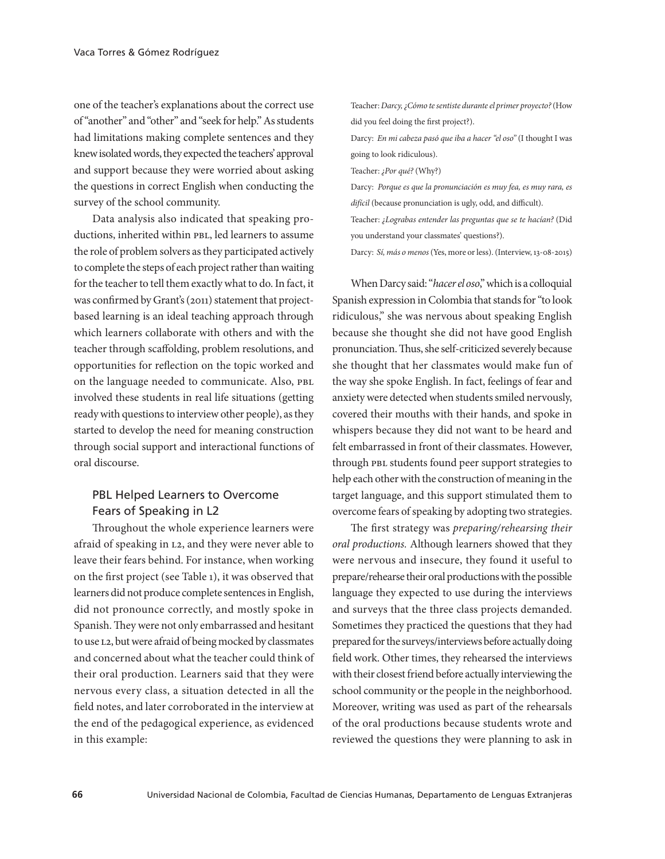one of the teacher's explanations about the correct use of "another" and "other" and "seek for help." As students had limitations making complete sentences and they knew isolated words, they expected the teachers' approval and support because they were worried about asking the questions in correct English when conducting the survey of the school community.

Data analysis also indicated that speaking productions, inherited within PBL, led learners to assume the role of problem solvers as they participated actively to complete the steps of each project rather than waiting for the teacher to tell them exactly what to do. In fact, it was confirmed by Grant's (2011) statement that projectbased learning is an ideal teaching approach through which learners collaborate with others and with the teacher through scaffolding, problem resolutions, and opportunities for reflection on the topic worked and on the language needed to communicate. Also, PBL involved these students in real life situations (getting ready with questions to interview other people), as they started to develop the need for meaning construction through social support and interactional functions of oral discourse.

# PBL Helped Learners to Overcome Fears of Speaking in L2

Throughout the whole experience learners were afraid of speaking in l2, and they were never able to leave their fears behind. For instance, when working on the first project (see Table 1), it was observed that learners did not produce complete sentences in English, did not pronounce correctly, and mostly spoke in Spanish. They were not only embarrassed and hesitant to use l2, but were afraid of being mocked by classmates and concerned about what the teacher could think of their oral production. Learners said that they were nervous every class, a situation detected in all the field notes, and later corroborated in the interview at the end of the pedagogical experience, as evidenced in this example:

Teacher: *Darcy, ¿Cómo te sentiste durante el primer proyecto?* (How did you feel doing the first project?).

Darcy: *En mi cabeza pasó que iba a hacer "el oso"* (I thought I was going to look ridiculous).

Teacher: *¿Por qué?* (Why?)

Darcy: *Porque es que la pronunciación es muy fea, es muy rara, es difícil* (because pronunciation is ugly, odd, and difficult).

Teacher: *¿Lograbas entender las preguntas que se te hacían?* (Did you understand your classmates' questions?).

Darcy: *Sí, más o menos* (Yes, more or less). (Interview, 13-08-2015)

When Darcy said: "*hacer el oso*," which is a colloquial Spanish expression in Colombia that stands for "to look ridiculous," she was nervous about speaking English because she thought she did not have good English pronunciation. Thus, she self-criticized severely because she thought that her classmates would make fun of the way she spoke English. In fact, feelings of fear and anxiety were detected when students smiled nervously, covered their mouths with their hands, and spoke in whispers because they did not want to be heard and felt embarrassed in front of their classmates. However, through PBL students found peer support strategies to help each other with the construction of meaning in the target language, and this support stimulated them to overcome fears of speaking by adopting two strategies.

The first strategy was *preparing/rehearsing their oral productions.* Although learners showed that they were nervous and insecure, they found it useful to prepare/rehearse their oral productions with the possible language they expected to use during the interviews and surveys that the three class projects demanded. Sometimes they practiced the questions that they had prepared for the surveys/interviews before actually doing field work. Other times, they rehearsed the interviews with their closest friend before actually interviewing the school community or the people in the neighborhood. Moreover, writing was used as part of the rehearsals of the oral productions because students wrote and reviewed the questions they were planning to ask in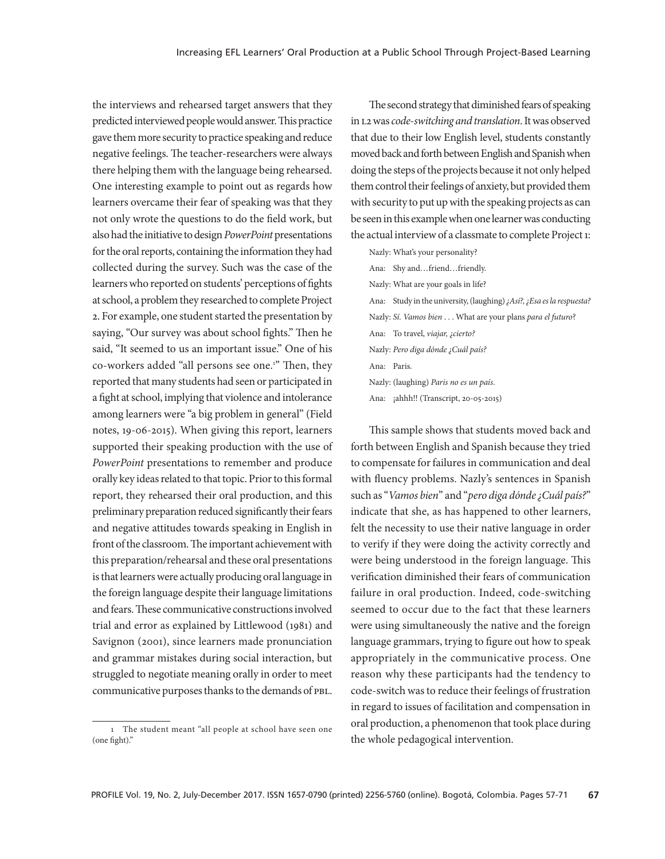the interviews and rehearsed target answers that they predicted interviewed people would answer. This practice gave them more security to practice speaking and reduce negative feelings. The teacher-researchers were always there helping them with the language being rehearsed. One interesting example to point out as regards how learners overcame their fear of speaking was that they not only wrote the questions to do the field work, but also had the initiative to design *PowerPoint* presentations for the oral reports, containing the information they had collected during the survey. Such was the case of the learners who reported on students' perceptions of fights at school, a problem they researched to complete Project 2. For example, one student started the presentation by saying, "Our survey was about school fights." Then he said, "It seemed to us an important issue." One of his co-workers added "all persons see one.<sup>1"</sup> Then, they reported that many students had seen or participated in a fight at school, implying that violence and intolerance among learners were "a big problem in general" (Field notes, 19-06-2015). When giving this report, learners supported their speaking production with the use of *PowerPoint* presentations to remember and produce orally key ideas related to that topic. Prior to this formal report, they rehearsed their oral production, and this preliminary preparation reduced significantly their fears and negative attitudes towards speaking in English in front of the classroom. The important achievement with this preparation/rehearsal and these oral presentations is that learners were actually producing oral language in the foreign language despite their language limitations and fears. These communicative constructions involved trial and error as explained by Littlewood (1981) and Savignon (2001), since learners made pronunciation and grammar mistakes during social interaction, but struggled to negotiate meaning orally in order to meet communicative purposes thanks to the demands of pbl.

The second strategy that diminished fears of speaking in l2 was *code-switching and translation*. It was observed that due to their low English level, students constantly moved back and forth between English and Spanish when doing the steps of the projects because it not only helped them control their feelings of anxiety, but provided them with security to put up with the speaking projects as can be seen in this example when one learner was conducting the actual interview of a classmate to complete Project 1:

Nazly: What's your personality? Ana: Shy and…friend…friendly. Nazly: What are your goals in life? Ana: Study in the university, (laughing) *¿Así?, ¿Esa es la respuesta?* Nazly: *Sí. Vamos bien* . . . What are your plans *para el futuro*? Ana: To travel, *viajar, ¿cierto?* Nazly: *Pero diga dónde ¿Cuál país?* Ana: Paris. Nazly: (laughing) *Paris no es un país*. Ana: ¡ahhh!! (Transcript, 20-05-2015)

This sample shows that students moved back and forth between English and Spanish because they tried to compensate for failures in communication and deal with fluency problems. Nazly's sentences in Spanish such as "*Vamos bien*" and "*pero diga dónde ¿Cuál país?*" indicate that she, as has happened to other learners, felt the necessity to use their native language in order to verify if they were doing the activity correctly and were being understood in the foreign language. This verification diminished their fears of communication failure in oral production. Indeed, code-switching seemed to occur due to the fact that these learners were using simultaneously the native and the foreign language grammars, trying to figure out how to speak appropriately in the communicative process. One reason why these participants had the tendency to code-switch was to reduce their feelings of frustration in regard to issues of facilitation and compensation in oral production, a phenomenon that took place during the whole pedagogical intervention.

<sup>1</sup> The student meant "all people at school have seen one (one fight)."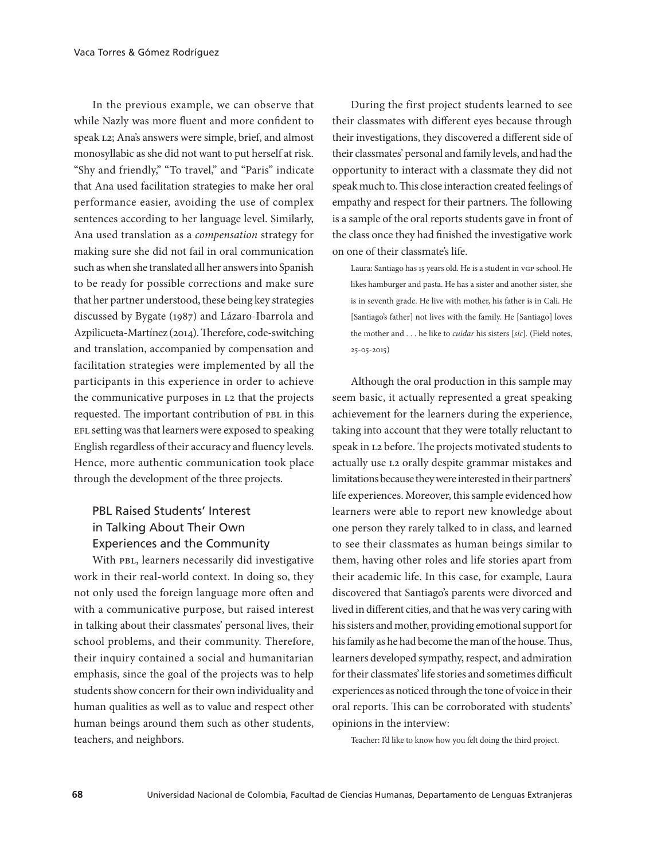In the previous example, we can observe that while Nazly was more fluent and more confident to speak l2; Ana's answers were simple, brief, and almost monosyllabic as she did not want to put herself at risk. "Shy and friendly," "To travel," and "Paris" indicate that Ana used facilitation strategies to make her oral performance easier, avoiding the use of complex sentences according to her language level. Similarly, Ana used translation as a *compensation* strategy for making sure she did not fail in oral communication such as when she translated all her answers into Spanish to be ready for possible corrections and make sure that her partner understood, these being key strategies discussed by Bygate (1987) and Lázaro-Ibarrola and Azpilicueta-Martínez (2014). Therefore, code-switching and translation, accompanied by compensation and facilitation strategies were implemented by all the participants in this experience in order to achieve the communicative purposes in L2 that the projects requested. The important contribution of PBL in this EFL setting was that learners were exposed to speaking English regardless of their accuracy and fluency levels. Hence, more authentic communication took place through the development of the three projects.

# PBL Raised Students' Interest in Talking About Their Own Experiences and the Community

With PBL, learners necessarily did investigative work in their real-world context. In doing so, they not only used the foreign language more often and with a communicative purpose, but raised interest in talking about their classmates' personal lives, their school problems, and their community. Therefore, their inquiry contained a social and humanitarian emphasis, since the goal of the projects was to help students show concern for their own individuality and human qualities as well as to value and respect other human beings around them such as other students, teachers, and neighbors.

During the first project students learned to see their classmates with different eyes because through their investigations, they discovered a different side of their classmates' personal and family levels, and had the opportunity to interact with a classmate they did not speak much to. This close interaction created feelings of empathy and respect for their partners. The following is a sample of the oral reports students gave in front of the class once they had finished the investigative work on one of their classmate's life.

Laura: Santiago has 15 years old. He is a student in vGP school. He likes hamburger and pasta. He has a sister and another sister, she is in seventh grade. He live with mother, his father is in Cali. He [Santiago's father] not lives with the family. He [Santiago] loves the mother and . . . he like to *cuidar* his sisters [*sic*]. (Field notes, 25-05-2015)

Although the oral production in this sample may seem basic, it actually represented a great speaking achievement for the learners during the experience, taking into account that they were totally reluctant to speak in l2 before. The projects motivated students to actually use l2 orally despite grammar mistakes and limitations because they were interested in their partners' life experiences. Moreover, this sample evidenced how learners were able to report new knowledge about one person they rarely talked to in class, and learned to see their classmates as human beings similar to them, having other roles and life stories apart from their academic life. In this case, for example, Laura discovered that Santiago's parents were divorced and lived in different cities, and that he was very caring with his sisters and mother, providing emotional support for his family as he had become the man of the house. Thus, learners developed sympathy, respect, and admiration for their classmates' life stories and sometimes difficult experiences as noticed through the tone of voice in their oral reports. This can be corroborated with students' opinions in the interview:

Teacher: I'd like to know how you felt doing the third project.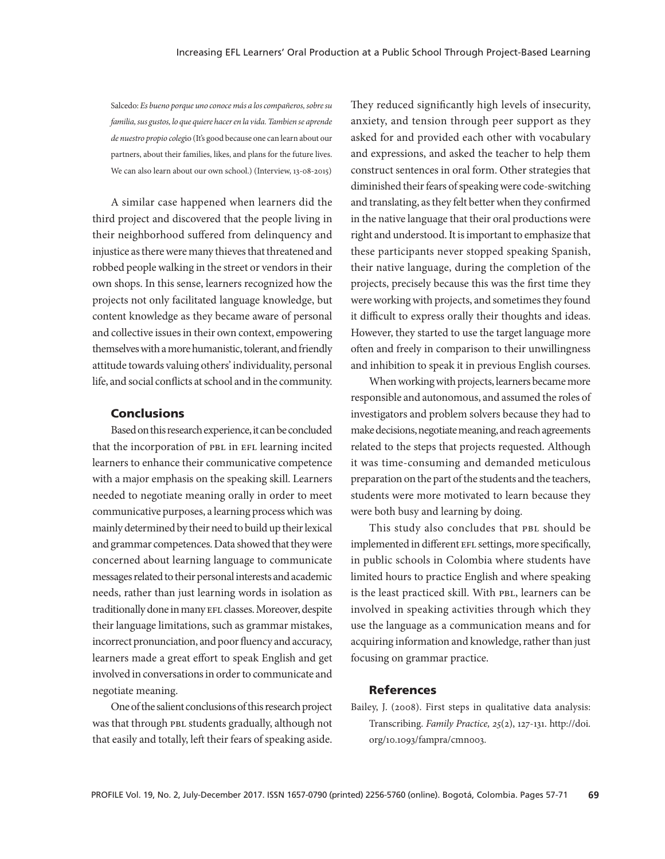Salcedo: *Es bueno porque uno conoce más a los compañeros, sobre su familia, sus gustos, lo que quiere hacer en la vida. Tambien se aprende de nuestro propio coleg*io (It's good because one can learn about our partners, about their families, likes, and plans for the future lives. We can also learn about our own school.) (Interview, 13-08-2015)

A similar case happened when learners did the third project and discovered that the people living in their neighborhood suffered from delinquency and injustice as there were many thieves that threatened and robbed people walking in the street or vendors in their own shops. In this sense, learners recognized how the projects not only facilitated language knowledge, but content knowledge as they became aware of personal and collective issues in their own context, empowering themselves with a more humanistic, tolerant, and friendly attitude towards valuing others' individuality, personal life, and social conflicts at school and in the community.

### **Conclusions**

Based on this research experience, it can be concluded that the incorporation of PBL in EFL learning incited learners to enhance their communicative competence with a major emphasis on the speaking skill. Learners needed to negotiate meaning orally in order to meet communicative purposes, a learning process which was mainly determined by their need to build up their lexical and grammar competences. Data showed that they were concerned about learning language to communicate messages related to their personal interests and academic needs, rather than just learning words in isolation as traditionally done in many EFL classes. Moreover, despite their language limitations, such as grammar mistakes, incorrect pronunciation, and poor fluency and accuracy, learners made a great effort to speak English and get involved in conversations in order to communicate and negotiate meaning.

One of the salient conclusions of this research project was that through PBL students gradually, although not that easily and totally, left their fears of speaking aside.

They reduced significantly high levels of insecurity, anxiety, and tension through peer support as they asked for and provided each other with vocabulary and expressions, and asked the teacher to help them construct sentences in oral form. Other strategies that diminished their fears of speaking were code-switching and translating, as they felt better when they confirmed in the native language that their oral productions were right and understood. It is important to emphasize that these participants never stopped speaking Spanish, their native language, during the completion of the projects, precisely because this was the first time they were working with projects, and sometimes they found it difficult to express orally their thoughts and ideas. However, they started to use the target language more often and freely in comparison to their unwillingness and inhibition to speak it in previous English courses.

When working with projects, learners became more responsible and autonomous, and assumed the roles of investigators and problem solvers because they had to make decisions, negotiate meaning, and reach agreements related to the steps that projects requested. Although it was time-consuming and demanded meticulous preparation on the part of the students and the teachers, students were more motivated to learn because they were both busy and learning by doing.

This study also concludes that PBL should be implemented in different EFL settings, more specifically, in public schools in Colombia where students have limited hours to practice English and where speaking is the least practiced skill. With PBL, learners can be involved in speaking activities through which they use the language as a communication means and for acquiring information and knowledge, rather than just focusing on grammar practice.

#### References

Bailey, J. (2008). First steps in qualitative data analysis: Transcribing. *Family Practice, 25*(2), 127-131. http://doi. org/10.1093/fampra/cmn003.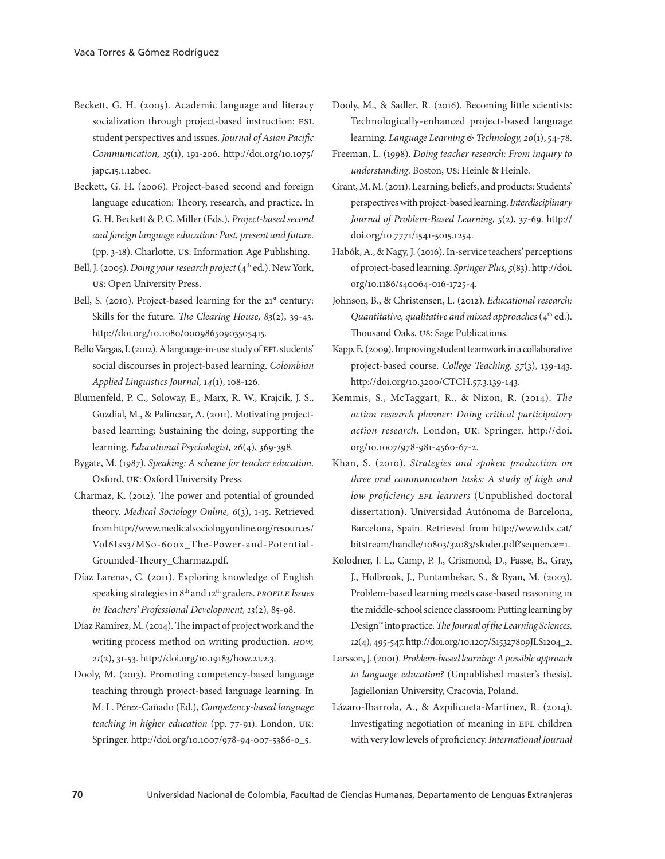- Beckett, G. H. (2005). Academic language and literacy socialization through project-based instruction: ESL student perspectives and issues. *Journal of Asian Pacific Communication, 15*(1), 191-206. http://doi.org/10.1075/ japc.15.1.12bec.
- Beckett, G. H. (2006). Project-based second and foreign language education: Theory, research, and practice. In G. H. Beckett & P. C. Miller (Eds.), *Project-based second and foreign language education: Past, present and future*. (pp. 3-18). Charlotte, us: Information Age Publishing.
- Bell, J. (2005). *Doing your research project* (4<sup>th</sup> ed.). New York, us: Open University Press.
- Bell, S. (2010). Project-based learning for the  $21<sup>st</sup>$  century: Skills for the future. *The Clearing House, 83*(2), 39-43. http://doi.org/10.1080/00098650903505415.
- Bello Vargas, I. (2012). A language-in-use study of EFL students' social discourses in project-based learning. *Colombian Applied Linguistics Journal, 14*(1), 108-126.
- Blumenfeld, P. C., Soloway, E., Marx, R. W., Krajcik, J. S., Guzdial, M., & Palincsar, A. (2011). Motivating projectbased learning: Sustaining the doing, supporting the learning. *Educational Psychologist, 26*(4), 369-398.
- Bygate, M. (1987). *Speaking: A scheme for teacher education*. Oxford, uk: Oxford University Press.
- Charmaz, K. (2012). The power and potential of grounded theory. *Medical Sociology Online, 6*(3), 1-15. Retrieved from http://www.medicalsociologyonline.org/resources/ Vol6Iss3/MSo-600x\_The-Power-and-Potential-Grounded-Theory\_Charmaz.pdf.
- Díaz Larenas, C. (2011). Exploring knowledge of English speaking strategies in 8th and 12th graders. *profile Issues in Teachers' Professional Development, 13*(2), 85-98.
- Díaz Ramírez, M. (2014). The impact of project work and the writing process method on writing production. *how, 21*(2), 31-53. http://doi.org/10.19183/how.21.2.3.
- Dooly, M. (2013). Promoting competency-based language teaching through project-based language learning. In M. L. Pérez-Cañado (Ed.), *Competency-based language teaching in higher education* (pp. 77-91). London, uk: Springer. http://doi.org/10.1007/978-94-007-5386-0\_5.
- Dooly, M., & Sadler, R. (2016). Becoming little scientists: Technologically-enhanced project-based language learning. *Language Learning & Technology, 20*(1), 54-78.
- Freeman, L. (1998). *Doing teacher research: From inquiry to understanding*. Boston, us: Heinle & Heinle.
- Grant, M. M. (2011). Learning, beliefs, and products: Students' perspectives with project-based learning. *Interdisciplinary Journal of Problem-Based Learning, 5*(2), 37-69. http:// doi.org/10.7771/1541-5015.1254.
- Habók, A., & Nagy, J. (2016). In-service teachers' perceptions of project-based learning. *Springer Plus, 5*(83). http://doi. org/10.1186/s40064-016-1725-4.
- Johnson, B., & Christensen, L. (2012). *Educational research: Quantitative, qualitative and mixed approaches* (4<sup>th</sup> ed.). Thousand Oaks, us: Sage Publications.
- Kapp, E. (2009). Improving student teamwork in a collaborative project-based course. *College Teaching, 57*(3), 139-143. http://doi.org/10.3200/CTCH.57.3.139-143.
- Kemmis, S., McTaggart, R., & Nixon, R. (2014). *The action research planner: Doing critical participatory action research*. London, uk: Springer. http://doi. org/10.1007/978-981-4560-67-2.
- Khan, S. (2010). *Strategies and spoken production on three oral communication tasks: A study of high and low proficiency efl learners* (Unpublished doctoral dissertation). Universidad Autónoma de Barcelona, Barcelona, Spain. Retrieved from http://www.tdx.cat/ bitstream/handle/10803/32083/sk1de1.pdf?sequence=1.
- Kolodner, J. L., Camp, P. J., Crismond, D., Fasse, B., Gray, J., Holbrook, J., Puntambekar, S., & Ryan, M. (2003). Problem-based learning meets case-based reasoning in the middle-school science classroom: Putting learning by Design™ into practice. *The Journal of the Learning Sciences, 12*(4), 495-547. http://doi.org/10.1207/S15327809JLS1204\_2.
- Larsson, J. (2001). *Problem-based learning: A possible approach to language education?* (Unpublished master's thesis). Jagiellonian University, Cracovia, Poland.
- Lázaro-Ibarrola, A., & Azpilicueta-Martínez, R. (2014). Investigating negotiation of meaning in EFL children with very low levels of proficiency. *International Journal*